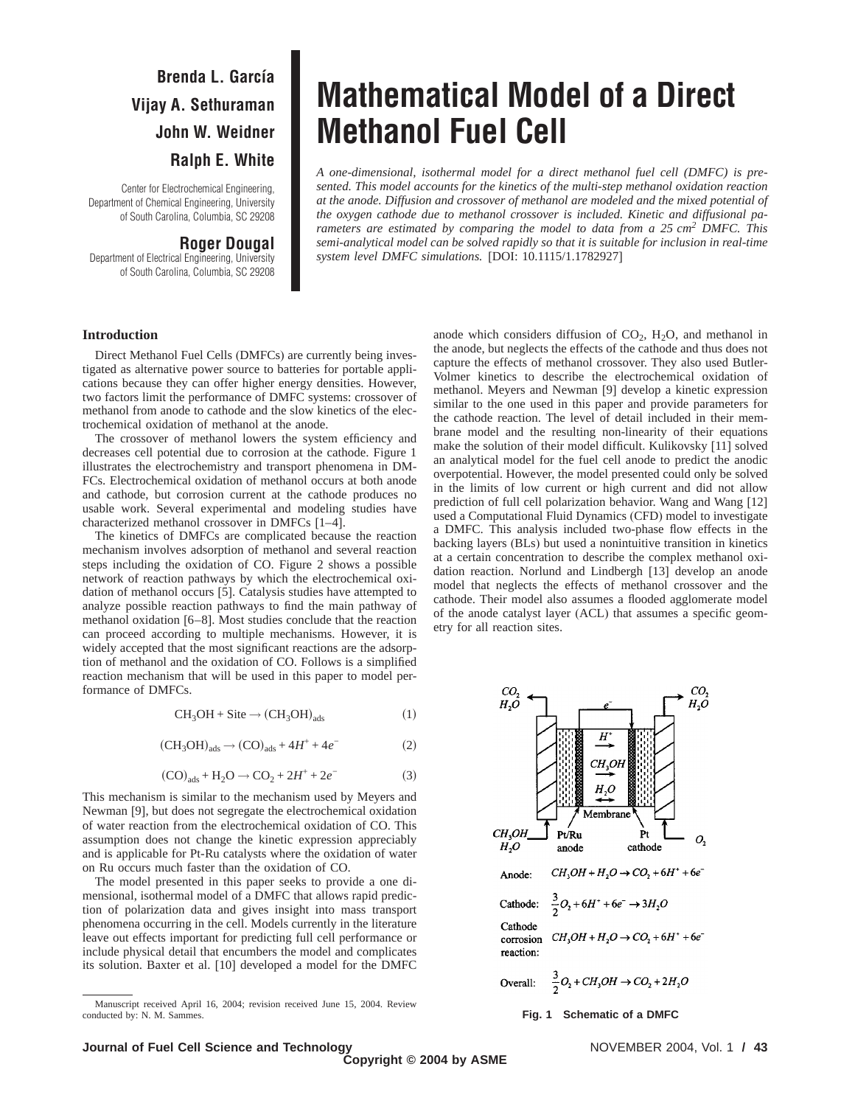# **Brenda L. García Vijay A. Sethuraman John W. Weidner Ralph E. White**

Center for Electrochemical Engineering, Department of Chemical Engineering, University of South Carolina, Columbia, SC 29208

# **Roger Dougal**

Department of Electrical Engineering, University of South Carolina, Columbia, SC 29208

# **Mathematical Model of a Direct Methanol Fuel Cell**

*A one-dimensional, isothermal model for a direct methanol fuel cell (DMFC) is presented. This model accounts for the kinetics of the multi-step methanol oxidation reaction at the anode. Diffusion and crossover of methanol are modeled and the mixed potential of the oxygen cathode due to methanol crossover is included. Kinetic and diffusional parameters are estimated by comparing the model to data from a 25 cm2 DMFC. This semi-analytical model can be solved rapidly so that it is suitable for inclusion in real-time system level DMFC simulations.* [DOI: 10.1115/1.1782927]

#### **Introduction**

Direct Methanol Fuel Cells (DMFCs) are currently being investigated as alternative power source to batteries for portable applications because they can offer higher energy densities. However, two factors limit the performance of DMFC systems: crossover of methanol from anode to cathode and the slow kinetics of the electrochemical oxidation of methanol at the anode.

The crossover of methanol lowers the system efficiency and decreases cell potential due to corrosion at the cathode. Figure 1 illustrates the electrochemistry and transport phenomena in DM-FCs. Electrochemical oxidation of methanol occurs at both anode and cathode, but corrosion current at the cathode produces no usable work. Several experimental and modeling studies have characterized methanol crossover in DMFCs [1–4].

The kinetics of DMFCs are complicated because the reaction mechanism involves adsorption of methanol and several reaction steps including the oxidation of CO. Figure 2 shows a possible network of reaction pathways by which the electrochemical oxidation of methanol occurs [5]. Catalysis studies have attempted to analyze possible reaction pathways to find the main pathway of methanol oxidation [6–8]. Most studies conclude that the reaction can proceed according to multiple mechanisms. However, it is widely accepted that the most significant reactions are the adsorption of methanol and the oxidation of CO. Follows is a simplified reaction mechanism that will be used in this paper to model performance of DMFCs.

$$
CH_3OH + Site \rightarrow (CH_3OH)_{ads} \tag{1}
$$

$$
(\text{CH}_3\text{OH})_{\text{ads}} \rightarrow (\text{CO})_{\text{ads}} + 4H^+ + 4e^- \tag{2}
$$

$$
(CO)_{ads} + H_2O \rightarrow CO_2 + 2H^+ + 2e^-
$$
 (3)

This mechanism is similar to the mechanism used by Meyers and Newman [9], but does not segregate the electrochemical oxidation of water reaction from the electrochemical oxidation of CO. This assumption does not change the kinetic expression appreciably and is applicable for Pt-Ru catalysts where the oxidation of water on Ru occurs much faster than the oxidation of CO.

The model presented in this paper seeks to provide a one dimensional, isothermal model of a DMFC that allows rapid prediction of polarization data and gives insight into mass transport phenomena occurring in the cell. Models currently in the literature leave out effects important for predicting full cell performance or include physical detail that encumbers the model and complicates its solution. Baxter et al. [10] developed a model for the DMFC anode which considers diffusion of  $CO<sub>2</sub>$ , H<sub>2</sub>O, and methanol in the anode, but neglects the effects of the cathode and thus does not capture the effects of methanol crossover. They also used Butler-Volmer kinetics to describe the electrochemical oxidation of methanol. Meyers and Newman [9] develop a kinetic expression similar to the one used in this paper and provide parameters for the cathode reaction. The level of detail included in their membrane model and the resulting non-linearity of their equations make the solution of their model difficult. Kulikovsky [11] solved an analytical model for the fuel cell anode to predict the anodic overpotential. However, the model presented could only be solved in the limits of low current or high current and did not allow prediction of full cell polarization behavior. Wang and Wang [12] used a Computational Fluid Dynamics (CFD) model to investigate a DMFC. This analysis included two-phase flow effects in the backing layers (BLs) but used a nonintuitive transition in kinetics at a certain concentration to describe the complex methanol oxidation reaction. Norlund and Lindbergh [13] develop an anode model that neglects the effects of methanol crossover and the cathode. Their model also assumes a flooded agglomerate model of the anode catalyst layer (ACL) that assumes a specific geometry for all reaction sites.



Manuscript received April 16, 2004; revision received June 15, 2004. Review conducted by: N. M. Sammes. **Fig. 1 Schematic of a DMFC**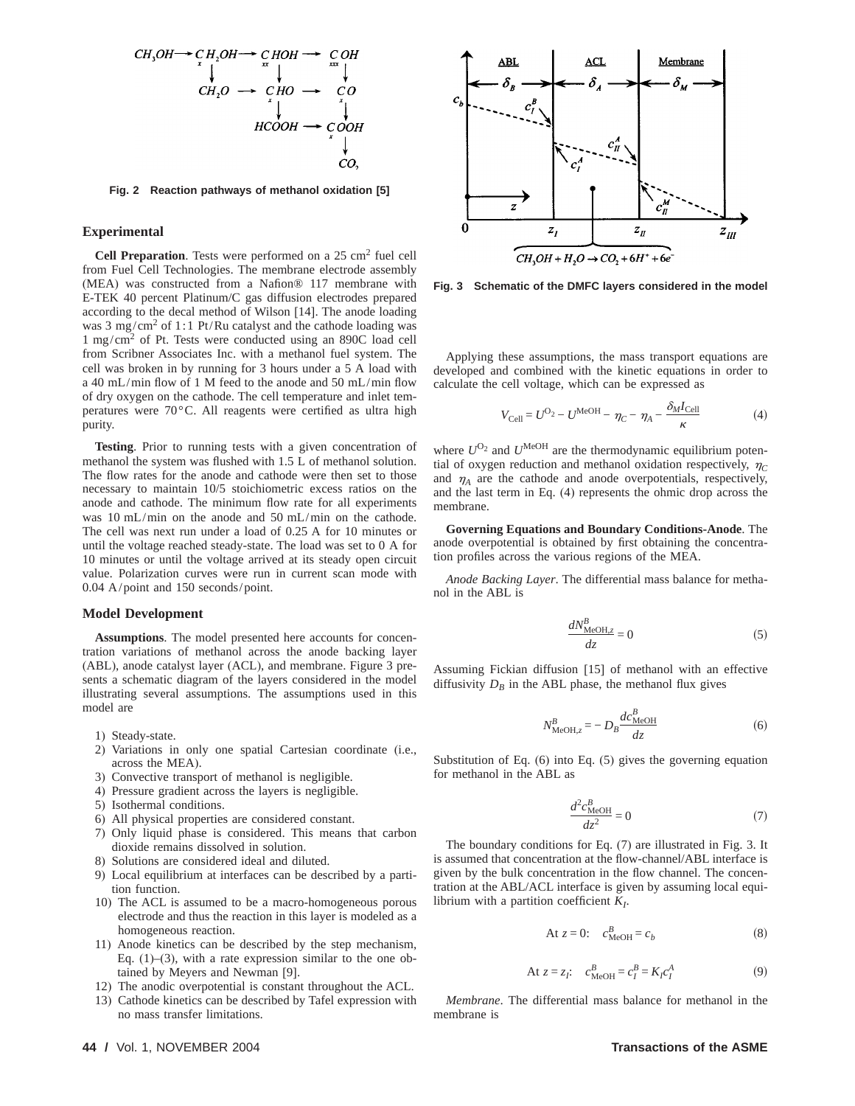

**Fig. 2 Reaction pathways of methanol oxidation [5]**

### **Experimental**

**Cell Preparation**. Tests were performed on a 25 cm<sup>2</sup> fuel cell from Fuel Cell Technologies. The membrane electrode assembly (MEA) was constructed from a Nafion® 117 membrane with E-TEK 40 percent Platinum/C gas diffusion electrodes prepared according to the decal method of Wilson [14]. The anode loading was 3 mg/cm<sup>2</sup> of 1:1 Pt/Ru catalyst and the cathode loading was 1 mg/cm2 of Pt. Tests were conducted using an 890C load cell from Scribner Associates Inc. with a methanol fuel system. The cell was broken in by running for 3 hours under a 5 A load with a 40 mL/min flow of 1 M feed to the anode and 50 mL/min flow of dry oxygen on the cathode. The cell temperature and inlet temperatures were 70°C. All reagents were certified as ultra high purity.

**Testing**. Prior to running tests with a given concentration of methanol the system was flushed with 1.5 L of methanol solution. The flow rates for the anode and cathode were then set to those necessary to maintain 10/5 stoichiometric excess ratios on the anode and cathode. The minimum flow rate for all experiments was 10 mL/min on the anode and 50 mL/min on the cathode. The cell was next run under a load of 0.25 A for 10 minutes or until the voltage reached steady-state. The load was set to 0 A for 10 minutes or until the voltage arrived at its steady open circuit value. Polarization curves were run in current scan mode with 0.04 A/point and 150 seconds/point.

#### **Model Development**

**Assumptions**. The model presented here accounts for concentration variations of methanol across the anode backing layer (ABL), anode catalyst layer (ACL), and membrane. Figure 3 presents a schematic diagram of the layers considered in the model illustrating several assumptions. The assumptions used in this model are

- 1) Steady-state.
- 2) Variations in only one spatial Cartesian coordinate (i.e., across the MEA).
- 3) Convective transport of methanol is negligible.
- 4) Pressure gradient across the layers is negligible.
- 5) Isothermal conditions.
- 6) All physical properties are considered constant.
- 7) Only liquid phase is considered. This means that carbon dioxide remains dissolved in solution.
- 8) Solutions are considered ideal and diluted.
- 9) Local equilibrium at interfaces can be described by a partition function.
- 10) The ACL is assumed to be a macro-homogeneous porous electrode and thus the reaction in this layer is modeled as a homogeneous reaction.
- 11) Anode kinetics can be described by the step mechanism, Eq.  $(1)$ – $(3)$ , with a rate expression similar to the one obtained by Meyers and Newman [9].
- 12) The anodic overpotential is constant throughout the ACL.
- 13) Cathode kinetics can be described by Tafel expression with no mass transfer limitations.



**Fig. 3 Schematic of the DMFC layers considered in the model**

Applying these assumptions, the mass transport equations are developed and combined with the kinetic equations in order to calculate the cell voltage, which can be expressed as

$$
V_{\text{Cell}} = U^{\text{O}_2} - U^{\text{MeOH}} - \eta_C - \eta_A - \frac{\delta_M I_{\text{Cell}}}{\kappa} \tag{4}
$$

where  $U^{O_2}$  and  $U^{MeOH}$  are the thermodynamic equilibrium potential of oxygen reduction and methanol oxidation respectively,  $\eta_c$ and  $\eta_A$  are the cathode and anode overpotentials, respectively, and the last term in Eq. (4) represents the ohmic drop across the membrane.

**Governing Equations and Boundary Conditions-Anode**. The anode overpotential is obtained by first obtaining the concentration profiles across the various regions of the MEA.

*Anode Backing Layer*. The differential mass balance for methanol in the ABL is

$$
\frac{dN_{\text{MeOH},z}^B}{dz} = 0\tag{5}
$$

Assuming Fickian diffusion [15] of methanol with an effective diffusivity  $D_B$  in the ABL phase, the methanol flux gives

$$
N_{\text{MeOH},z}^{B} = -D_{B} \frac{dc_{\text{MeOH}}^{B}}{dz}
$$
 (6)

Substitution of Eq. (6) into Eq. (5) gives the governing equation for methanol in the ABL as

$$
\frac{d^2c_{\text{MeOH}}^B}{dz^2} = 0\tag{7}
$$

The boundary conditions for Eq. (7) are illustrated in Fig. 3. It is assumed that concentration at the flow-channel/ABL interface is given by the bulk concentration in the flow channel. The concentration at the ABL/ACL interface is given by assuming local equilibrium with a partition coefficient *KI*.

$$
At z = 0: c_{MeOH}^B = c_b \tag{8}
$$

At 
$$
z = z_I
$$
:  $c_{\text{MeOH}}^B = c_I^B = K_I c_I^A$  (9)

*Membrane*. The differential mass balance for methanol in the membrane is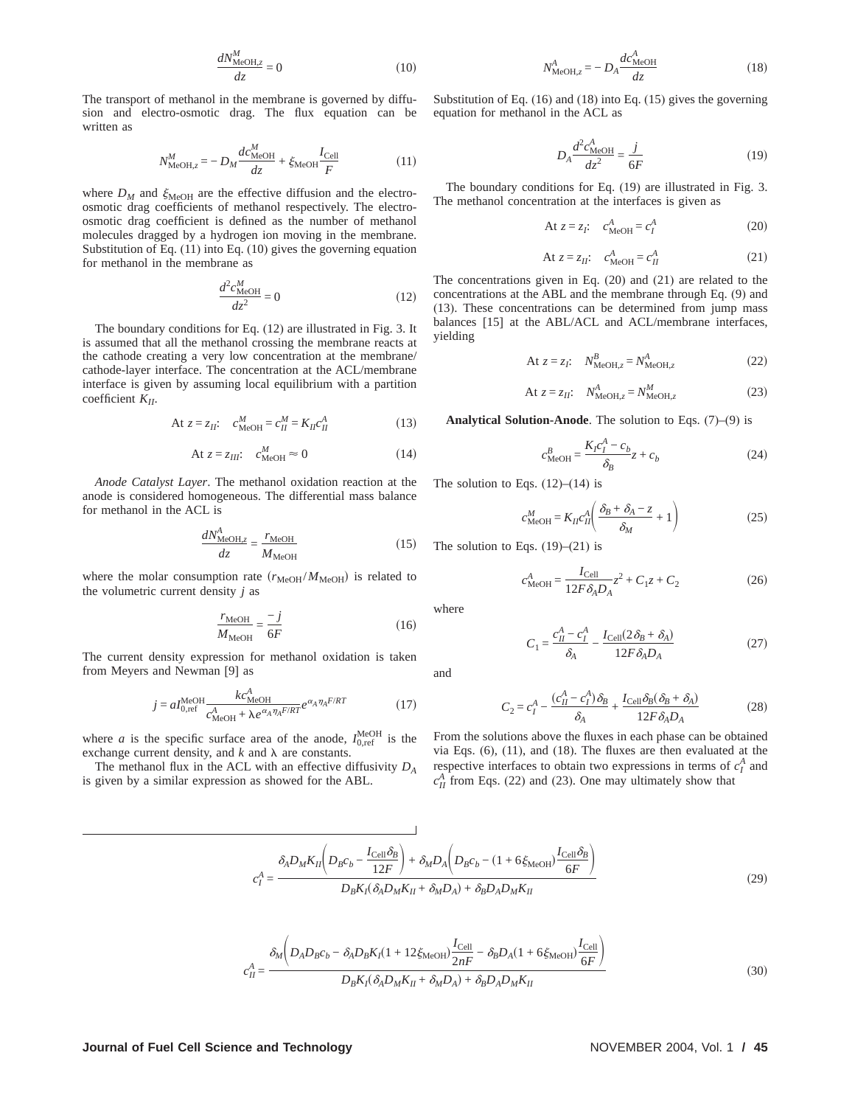$$
\frac{dN_{\text{MeOH},z}^M}{dz} = 0\tag{10}
$$

The transport of methanol in the membrane is governed by diffusion and electro-osmotic drag. The flux equation can be written as

$$
N_{\text{MeOH},z}^{M} = -D_M \frac{dc_{\text{MeOH}}^M}{dz} + \xi_{\text{MeOH}} \frac{I_{\text{Cell}}}{F}
$$
(11)

where  $D_M$  and  $\xi_{\text{MeOH}}$  are the effective diffusion and the electroosmotic drag coefficients of methanol respectively. The electroosmotic drag coefficient is defined as the number of methanol molecules dragged by a hydrogen ion moving in the membrane. Substitution of Eq. (11) into Eq. (10) gives the governing equation for methanol in the membrane as

$$
\frac{d^2c_{\text{MeOH}}^H}{dz^2} = 0\tag{12}
$$

The boundary conditions for Eq. (12) are illustrated in Fig. 3. It is assumed that all the methanol crossing the membrane reacts at the cathode creating a very low concentration at the membrane/ cathode-layer interface. The concentration at the ACL/membrane interface is given by assuming local equilibrium with a partition coefficient *KII*.

$$
\text{At } z = z_{II}: \quad c_{\text{MeOH}}^M = c_{II}^M = K_{II} c_{II}^A \tag{13}
$$

$$
At z = z_{III}: c_{MeOH}^M \approx 0
$$
 (14)

*Anode Catalyst Layer*. The methanol oxidation reaction at the anode is considered homogeneous. The differential mass balance for methanol in the ACL is

$$
\frac{dN_{\text{MeOH},z}^A}{dz} = \frac{r_{\text{MeOH}}}{M_{\text{MeOH}}} \tag{15}
$$

where the molar consumption rate  $(r_{\text{MeOH}}/M_{\text{MeOH}})$  is related to the volumetric current density *j* as

$$
\frac{r_{\text{MeOH}}}{M_{\text{MeOH}}} = \frac{-j}{6F} \tag{16}
$$

The current density expression for methanol oxidation is taken from Meyers and Newman [9] as

$$
j = aI_{0,\text{ref}}^{\text{MeOH}} \frac{k c_{\text{MeOH}}^A}{c_{\text{MeOH}}^A + \lambda e^{\alpha_A \eta_A F/RT}} e^{\alpha_A \eta_A F/RT}
$$
(17)

where *a* is the specific surface area of the anode,  $I_{0,\text{ref}}^{\text{MeOH}}$  is the exchange current density, and  $k$  and  $\lambda$  are constants.

The methanol flux in the ACL with an effective diffusivity *DA* is given by a similar expression as showed for the ABL.

$$
N_{\text{MeOH},z}^A = -D_A \frac{dc_{\text{MeOH}}^A}{dz} \tag{18}
$$

Substitution of Eq. (16) and (18) into Eq. (15) gives the governing equation for methanol in the ACL as

$$
D_A \frac{d^2 c_{\text{MeOH}}^A}{dz^2} = \frac{j}{6F} \tag{19}
$$

The boundary conditions for Eq. (19) are illustrated in Fig. 3. The methanol concentration at the interfaces is given as

$$
At z = z_I: \quad c_{\text{MeOH}}^A = c_I^A \tag{20}
$$

$$
At z = z_{II}: c_{MeOH}^A = c_{II}^A
$$
 (21)

The concentrations given in Eq. (20) and (21) are related to the concentrations at the ABL and the membrane through Eq. (9) and (13). These concentrations can be determined from jump mass balances [15] at the ABL/ACL and ACL/membrane interfaces, yielding

$$
At z = z_I: \quad N_{\text{MeOH},z}^B = N_{\text{MeOH},z}^A \tag{22}
$$

At 
$$
z = z_{II}
$$
:  $N_{\text{MeOH},z}^A = N_{\text{MeOH},z}^M$  (23)

**Analytical Solution-Anode**. The solution to Eqs. (7)–(9) is

$$
c_{\text{MeOH}}^B = \frac{K_f c_I^A - c_b}{\delta_B} z + c_b \tag{24}
$$

The solution to Eqs.  $(12)$ – $(14)$  is

$$
c_{\text{MeOH}}^M = K_{II} c_{II}^A \left( \frac{\delta_B + \delta_A - z}{\delta_M} + 1 \right) \tag{25}
$$

The solution to Eqs.  $(19)$ – $(21)$  is

$$
c_{\text{MeOH}}^A = \frac{I_{\text{Cell}}}{12F \delta_A D_A} z^2 + C_1 z + C_2 \tag{26}
$$

where

$$
C_1 = \frac{c_H^A - c_I^A}{\delta_A} - \frac{I_{\text{Cell}}(2\delta_B + \delta_A)}{12F\delta_A D_A} \tag{27}
$$

and

$$
C_2 = c_I^A - \frac{(c_H^A - c_I^A)\delta_B}{\delta_A} + \frac{I_{\text{Cell}}\delta_B(\delta_B + \delta_A)}{12F\delta_A D_A}
$$
(28)

From the solutions above the fluxes in each phase can be obtained via Eqs. (6), (11), and (18). The fluxes are then evaluated at the respective interfaces to obtain two expressions in terms of  $c_I^A$  and  $c_H^A$  from Eqs. (22) and (23). One may ultimately show that

$$
c_{I}^{A} = \frac{\delta_{A}D_{M}K_{II}\left(D_{B}c_{b} - \frac{I_{\text{Cell}}\delta_{B}}{12F}\right) + \delta_{M}D_{A}\left(D_{B}c_{b} - (1 + 6\xi_{\text{MeOH}})\frac{I_{\text{Cell}}\delta_{B}}{6F}\right)}{D_{B}K_{I}(\delta_{A}D_{M}K_{II} + \delta_{M}D_{A}) + \delta_{B}D_{A}D_{M}K_{II}}
$$
\n(29)

$$
c_{II}^A = \frac{\delta_M \left( D_A D_B c_b - \delta_A D_B K_I (1 + 12 \xi_{\text{MeOH}}) \frac{I_{\text{Cell}}}{2nF} - \delta_B D_A (1 + 6 \xi_{\text{MeOH}}) \frac{I_{\text{Cell}}}{6F} \right)}{D_B K_I (\delta_A D_M K_{II} + \delta_M D_A) + \delta_B D_A D_M K_{II}}
$$
(30)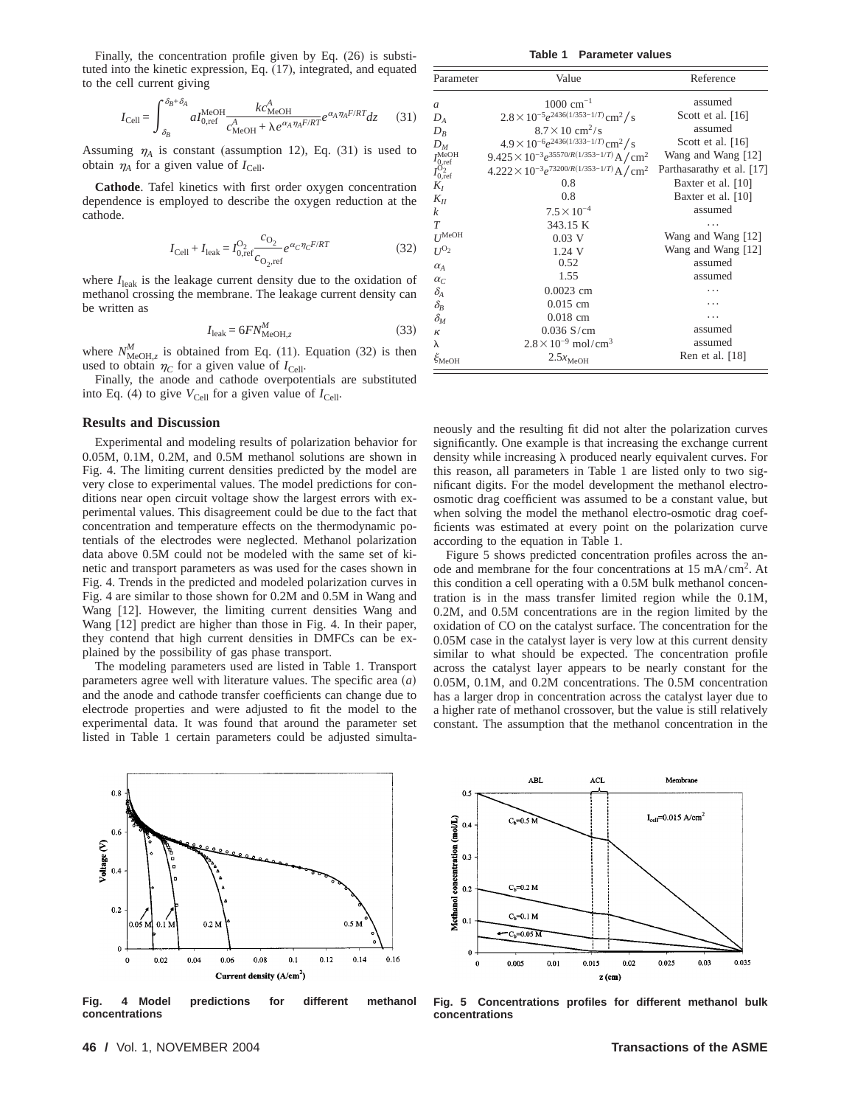Finally, the concentration profile given by Eq. (26) is substituted into the kinetic expression, Eq. (17), integrated, and equated to the cell current giving

$$
I_{\text{Cell}} = \int_{\delta_B}^{\delta_B + \delta_A} a I_{0,\text{ref}}^{\text{MeOH}} \frac{k c_{\text{MeOH}}^A}{c_{\text{MeOH}}^A + \lambda e^{\alpha_A \eta_A F / RT}} e^{\alpha_A \eta_A F / RT} dz \qquad (31)
$$

Assuming  $\eta_A$  is constant (assumption 12), Eq. (31) is used to obtain  $\eta_A$  for a given value of  $I_{\text{Cell}}$ .

**Cathode**. Tafel kinetics with first order oxygen concentration dependence is employed to describe the oxygen reduction at the cathode.

$$
I_{\text{Cell}} + I_{\text{leak}} = I_{0,\text{ref}}^{\text{O}_2} \frac{c_{\text{O}_2}}{c_{\text{O}_2,\text{ref}}} e^{\alpha_C \eta_C F / RT}
$$
(32)

where  $I_{\text{leak}}$  is the leakage current density due to the oxidation of methanol crossing the membrane. The leakage current density can be written as

$$
I_{\text{leak}} = 6FN_{\text{MeOH},z}^M \tag{33}
$$

where  $N_{\text{MeOH},z}^M$  is obtained from Eq. (11). Equation (32) is then used to obtain  $\eta_C$  for a given value of  $I_{\text{Cell}}$ .

Finally, the anode and cathode overpotentials are substituted into Eq. (4) to give  $V_{\text{Cell}}$  for a given value of  $I_{\text{Cell}}$ .

#### **Results and Discussion**

Experimental and modeling results of polarization behavior for 0.05M, 0.1M, 0.2M, and 0.5M methanol solutions are shown in Fig. 4. The limiting current densities predicted by the model are very close to experimental values. The model predictions for conditions near open circuit voltage show the largest errors with experimental values. This disagreement could be due to the fact that concentration and temperature effects on the thermodynamic potentials of the electrodes were neglected. Methanol polarization data above 0.5M could not be modeled with the same set of kinetic and transport parameters as was used for the cases shown in Fig. 4. Trends in the predicted and modeled polarization curves in Fig. 4 are similar to those shown for 0.2M and 0.5M in Wang and Wang [12]. However, the limiting current densities Wang and Wang [12] predict are higher than those in Fig. 4. In their paper, they contend that high current densities in DMFCs can be explained by the possibility of gas phase transport.

The modeling parameters used are listed in Table 1. Transport parameters agree well with literature values. The specific area  $(a)$ and the anode and cathode transfer coefficients can change due to electrode properties and were adjusted to fit the model to the experimental data. It was found that around the parameter set listed in Table 1 certain parameters could be adjusted simulta-

 $0.6$ Voltage (V)  $0.4$  $0.2$ 0.5  $0.11$  $0.2$  $0.5<sub>N</sub>$  $\mathbf 0$  $0.14$  $0.16$  $\pmb{0}$ 0.02 0.04 0.06 0.08  $0.1$  $0.12$ Current density (A/cm<sup>2</sup>)

**Fig. 4 Model predictions for different methanol concentrations**

**Table 1 Parameter values**

| Parameter                                                                   | Value                                                             | Reference                 |
|-----------------------------------------------------------------------------|-------------------------------------------------------------------|---------------------------|
| $\mathfrak a$                                                               | $1000 \text{ cm}^{-1}$                                            | assumed                   |
| $D_A$                                                                       | $2.8 \times 10^{-5} e^{2436(1/353-1/T)}$ cm <sup>2</sup> /s       | Scott et al. $[16]$       |
| $D_R$                                                                       | $8.7 \times 10$ cm <sup>2</sup> /s                                | assumed                   |
| $D_M$                                                                       | $4.9 \times 10^{-6} e^{2436(1/333-1/T)}$ cm <sup>2</sup> /s       | Scott et al. $[16]$       |
|                                                                             | $9.425 \times 10^{-3} e^{35570/R(1/353-1/T)}$ A / cm <sup>2</sup> | Wang and Wang [12]        |
| $I_{0,\mathrm{ref}}^{\mathrm{MeOH}}$<br>$I_{0,\mathrm{ref}}^{\mathrm{O}_2}$ | $4.222 \times 10^{-3} e^{73200/R(1/353-1/T)}$ A/cm <sup>2</sup>   | Parthasarathy et al. [17] |
| $K_I$                                                                       | 0.8                                                               | Baxter et al. [10]        |
| $K_{II}$                                                                    | 0.8                                                               | Baxter et al. [10]        |
| k                                                                           | $7.5 \times 10^{-4}$                                              | assumed                   |
| T                                                                           | 343.15 K                                                          |                           |
| $U^{\text{MeOH}}$                                                           | $0.03$ V                                                          | Wang and Wang [12]        |
| $U^{O_2}$                                                                   | 1.24 V                                                            | Wang and Wang [12]        |
| $\alpha_A$                                                                  | 0.52                                                              | assumed                   |
| $\alpha_C$                                                                  | 1.55                                                              | assumed                   |
| $\delta_{\!A}$                                                              | $0.0023$ cm                                                       |                           |
| $\delta_{\rm B}$                                                            | $0.015$ cm                                                        |                           |
| $\delta_{\rm M}$                                                            | $0.018$ cm                                                        | .                         |
| к                                                                           | $0.036$ S/cm                                                      | assumed                   |
| $\lambda$                                                                   | $2.8 \times 10^{-9}$ mol/cm <sup>3</sup>                          | assumed                   |
| $\xi_{\text{MeOH}}$                                                         | $2.5x_{\text{MeOH}}$                                              | Ren et al. $[18]$         |

neously and the resulting fit did not alter the polarization curves significantly. One example is that increasing the exchange current density while increasing  $\lambda$  produced nearly equivalent curves. For this reason, all parameters in Table 1 are listed only to two significant digits. For the model development the methanol electroosmotic drag coefficient was assumed to be a constant value, but when solving the model the methanol electro-osmotic drag coefficients was estimated at every point on the polarization curve according to the equation in Table 1.

Figure 5 shows predicted concentration profiles across the anode and membrane for the four concentrations at 15 mA/cm2. At this condition a cell operating with a 0.5M bulk methanol concentration is in the mass transfer limited region while the 0.1M, 0.2M, and 0.5M concentrations are in the region limited by the oxidation of CO on the catalyst surface. The concentration for the 0.05M case in the catalyst layer is very low at this current density similar to what should be expected. The concentration profile across the catalyst layer appears to be nearly constant for the 0.05M, 0.1M, and 0.2M concentrations. The 0.5M concentration has a larger drop in concentration across the catalyst layer due to a higher rate of methanol crossover, but the value is still relatively constant. The assumption that the methanol concentration in the



**Fig. 5 Concentrations profiles for different methanol bulk concentrations**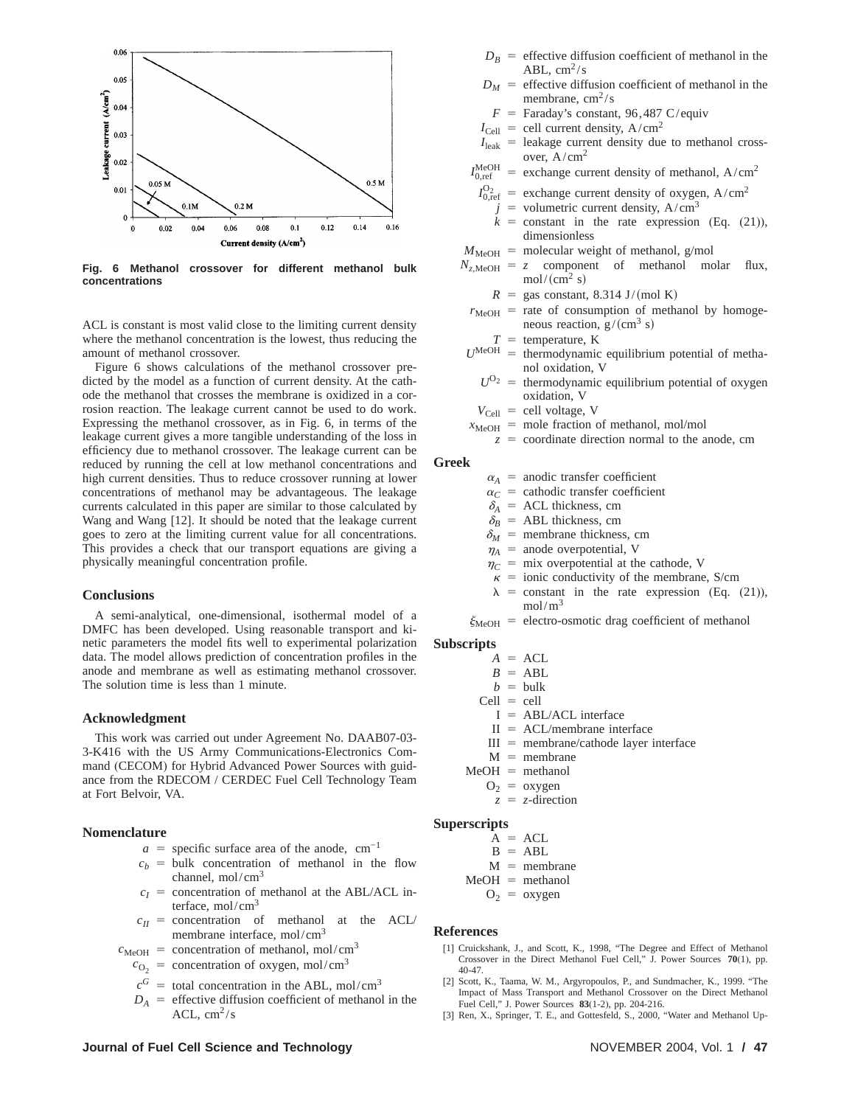

**Fig. 6 Methanol crossover for different methanol bulk concentrations**

ACL is constant is most valid close to the limiting current density where the methanol concentration is the lowest, thus reducing the amount of methanol crossover.

Figure 6 shows calculations of the methanol crossover predicted by the model as a function of current density. At the cathode the methanol that crosses the membrane is oxidized in a corrosion reaction. The leakage current cannot be used to do work. Expressing the methanol crossover, as in Fig. 6, in terms of the leakage current gives a more tangible understanding of the loss in efficiency due to methanol crossover. The leakage current can be reduced by running the cell at low methanol concentrations and high current densities. Thus to reduce crossover running at lower concentrations of methanol may be advantageous. The leakage currents calculated in this paper are similar to those calculated by Wang and Wang [12]. It should be noted that the leakage current goes to zero at the limiting current value for all concentrations. This provides a check that our transport equations are giving a physically meaningful concentration profile.

#### **Conclusions**

A semi-analytical, one-dimensional, isothermal model of a DMFC has been developed. Using reasonable transport and kinetic parameters the model fits well to experimental polarization data. The model allows prediction of concentration profiles in the anode and membrane as well as estimating methanol crossover. The solution time is less than 1 minute.

#### **Acknowledgment**

This work was carried out under Agreement No. DAAB07-03- 3-K416 with the US Army Communications-Electronics Command (CECOM) for Hybrid Advanced Power Sources with guidance from the RDECOM / CERDEC Fuel Cell Technology Team at Fort Belvoir, VA.

## **Nomenclature**

- $a =$  specific surface area of the anode, cm<sup>-1</sup>
- $c_b$  = bulk concentration of methanol in the flow channel, mol/ $\text{cm}^3$
- $c_I$  = concentration of methanol at the ABL/ACL interface,  $mol/cm<sup>3</sup>$
- $c_{II}$  = concentration of methanol at the ACL membrane interface, mol/cm<sup>3</sup>
- $c_{\text{MeOH}}$  = concentration of methanol, mol/cm<sup>3</sup>
	- $c_{\text{O}_2}$  = concentration of oxygen, mol/cm<sup>3</sup>
	- $c^G$  = total concentration in the ABL, mol/cm<sup>3</sup>
	- $D_A$  = effective diffusion coefficient of methanol in the ACL,  $cm^2/s$
- $D_B$  = effective diffusion coefficient of methanol in the ABL,  $cm^2/s$
- $D_M$  = effective diffusion coefficient of methanol in the membrane,  $\text{cm}^2/\text{s}$ 
	- $F =$  Faraday's constant, 96,487 C/equiv
- $I_{\text{Cell}}$  = cell current density, A/cm<sup>2</sup>
- $I_{\text{leak}}$  = leakage current density due to methanol crossover,  $A/cm<sup>2</sup>$
- $I_{0,\mathrm{ref}}^{\mathrm{MeOH}}$ = exchange current density of methanol,  $A/cm^2$ 
	- $I_{0,ref}^{O_2}$  = exchange current density of oxygen, A/cm<sup>2</sup>
		- $=$  volumetric current density, A/cm<sup>3</sup>
		- $k =$  constant in the rate expression (Eq. (21)), dimensionless
- $M_{\text{MeOH}}$  = molecular weight of methanol, g/mol
- $N_{z, \text{MeOH}} = z$  component of methanol molar flux,  $mol/(cm<sup>2</sup> s)$ 
	- $R =$ gas constant, 8.314 J/(mol K)
	- $r_{\text{MeOH}}$  = rate of consumption of methanol by homogeneous reaction,  $g/(cm^3 s)$ 
		- $T =$  temperature, K
- $U^{\text{MeOH}}$  = thermodynamic equilibrium potential of methanol oxidation, V
	- $U^{O_2}$  = thermodynamic equilibrium potential of oxygen oxidation, V
- $V_{\text{Cell}}$  = cell voltage, V
- $x_{\text{MeOH}}$  = mole fraction of methanol, mol/mol
	- $z =$  coordinate direction normal to the anode, cm

#### **Greek**

- $\alpha_A$  = anodic transfer coefficient
- $\alpha_C$  = cathodic transfer coefficient
- $\delta$ <sup>*A*</sup> = ACL thickness, cm
- $\delta_B$  = ABL thickness, cm
- $\delta_M$  = membrane thickness, cm
- $\eta_A$  = anode overpotential, V
- $\eta_C$  = mix overpotential at the cathode, V
- $\kappa$  = ionic conductivity of the membrane, S/cm  $\lambda$  = constant in the rate expression (Eq. (21)),
- mol/m<sup>3</sup>
- $\xi_{\text{MeOH}}$  = electro-osmotic drag coefficient of methanol

#### **Subscripts**

- $A = ACL$
- $B = ABL$
- $b = \text{bulk}$
- $Cell = cell$ 
	- $I = ABL/ACL$  interface
	- $II = ACL/membrane$  interface
- $III =$  membrane/cathode layer interface
- $M =$  membrane
- $MeOH = methanol$ 
	- $O_2 = \alpha x y$ gen
	- $z = z$ -direction

# **Superscripts**

 $A = ACL$  $B = ABL$  $M =$  membrane  $MeOH = methanol$ 

 $O_2 = \alpha$ ygen

#### **References**

- [1] Cruickshank, J., and Scott, K., 1998, "The Degree and Effect of Methanol Crossover in the Direct Methanol Fuel Cell," J. Power Sources **70**(1), pp. 40-47.
- [2] Scott, K., Taama, W. M., Argyropoulos, P., and Sundmacher, K., 1999. "The Impact of Mass Transport and Methanol Crossover on the Direct Methanol Fuel Cell," J. Power Sources **83**(1-2), pp. 204-216.
- [3] Ren, X., Springer, T. E., and Gottesfeld, S., 2000, "Water and Methanol Up-